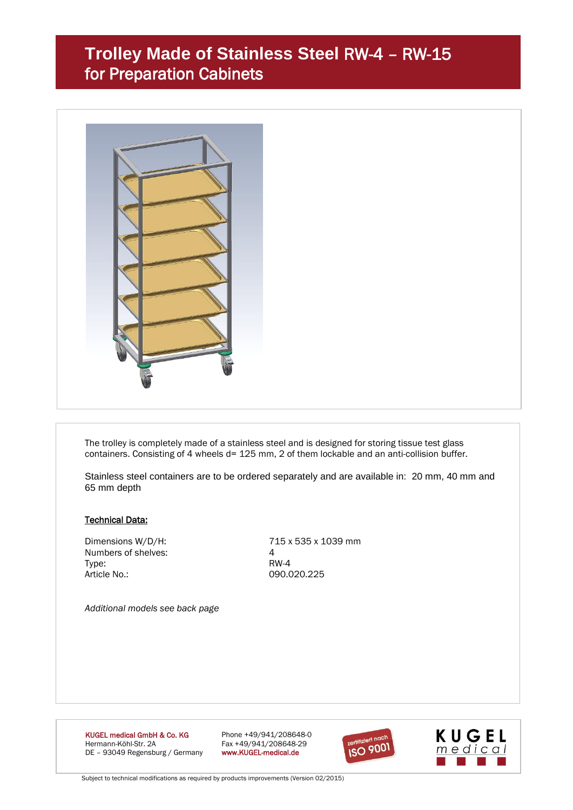## **Trolley Made of Stainless Steel** RW-4 – RW-15 for Preparation Cabinets



The trolley is completely made of a stainless steel and is designed for storing tissue test glass containers. Consisting of 4 wheels d= 125 mm, 2 of them lockable and an anti-collision buffer.

Stainless steel containers are to be ordered separately and are available in: 20 mm, 40 mm and 65 mm depth

#### Technical Data:

Numbers of shelves: 4 Type: RW-4 Article No.: 090.020.225

Dimensions W/D/H: 715 x 535 x 1039 mm

*Additional models see back page*

**KUGEL medical GmbH & Co. KG** Phone +49/941/208648-0<br>
Hermann-Köhl-Str. 2A **Phone +49/941/208648-29** DE - 93049 Regensburg / Germany

Fax +49/941/208648-29<br>www.KUGEL-medical.de





Subject to technical modifications as required by products improvements (Version 02/2015)